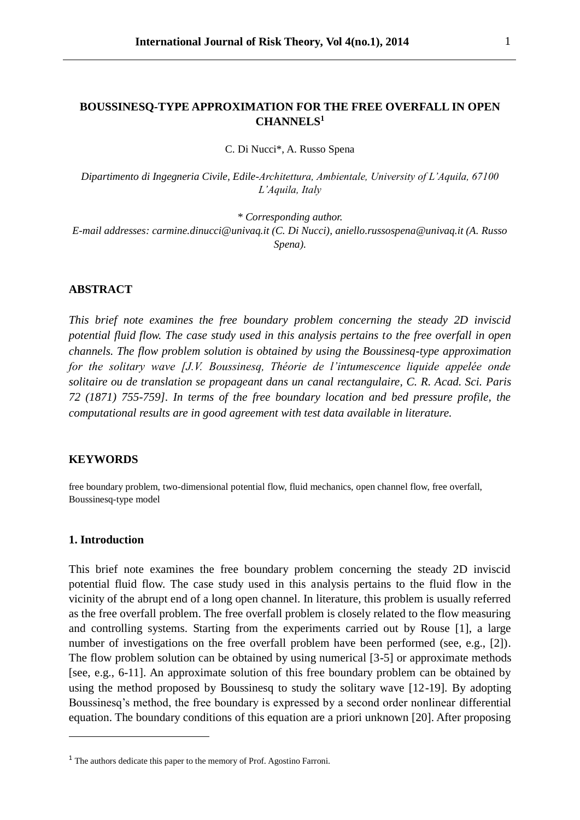# **BOUSSINESQ-TYPE APPROXIMATION FOR THE FREE OVERFALL IN OPEN CHANNELS<sup>1</sup>**

C. Di Nucci\*, A. Russo Spena

*Dipartimento di Ingegneria Civile, Edile-Architettura, Ambientale, University of L'Aquila, 67100 L'Aquila, Italy*

*\* Corresponding author. E-mail addresses: carmine.dinucci@univaq.it (C. Di Nucci), aniello.russospena@univaq.it (A. Russo Spena).*

### **ABSTRACT**

*This brief note examines the free boundary problem concerning the steady 2D inviscid potential fluid flow. The case study used in this analysis pertains to the free overfall in open channels. The flow problem solution is obtained by using the Boussinesq-type approximation for the solitary wave [J.V. Boussinesq, Théorie de l'intumescence liquide appelée onde solitaire ou de translation se propageant dans un canal rectangulaire, C. R. Acad. Sci. Paris 72 (1871) 755-759]. In terms of the free boundary location and bed pressure profile, the computational results are in good agreement with test data available in literature.*

#### **KEYWORDS**

free boundary problem, two-dimensional potential flow, fluid mechanics, open channel flow, free overfall, Boussinesq-type model

### **1. Introduction**

 $\overline{a}$ 

This brief note examines the free boundary problem concerning the steady 2D inviscid potential fluid flow. The case study used in this analysis pertains to the fluid flow in the vicinity of the abrupt end of a long open channel. In literature, this problem is usually referred as the free overfall problem. The free overfall problem is closely related to the flow measuring and controlling systems. Starting from the experiments carried out by Rouse [1], a large number of investigations on the free overfall problem have been performed (see, e.g., [2]). The flow problem solution can be obtained by using numerical [3-5] or approximate methods [see, e.g., 6-11]. An approximate solution of this free boundary problem can be obtained by using the method proposed by Boussinesq to study the solitary wave [12-19]. By adopting Boussinesq's method, the free boundary is expressed by a second order nonlinear differential equation. The boundary conditions of this equation are a priori unknown [20]. After proposing

<sup>&</sup>lt;sup>1</sup> The authors dedicate this paper to the memory of Prof. Agostino Farroni.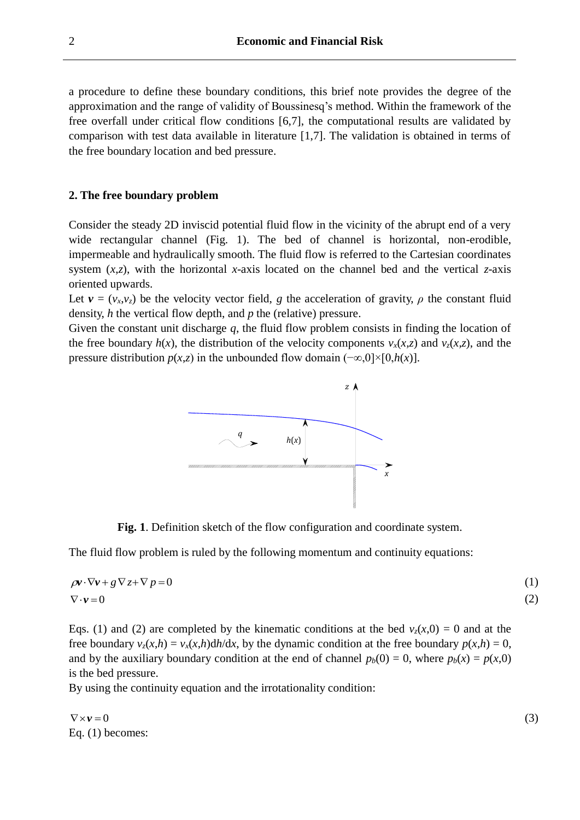a procedure to define these boundary conditions, this brief note provides the degree of the approximation and the range of validity of Boussinesq's method. Within the framework of the free overfall under critical flow conditions [6,7], the computational results are validated by comparison with test data available in literature [1,7]. The validation is obtained in terms of the free boundary location and bed pressure.

### **2. The free boundary problem**

Consider the steady 2D inviscid potential fluid flow in the vicinity of the abrupt end of a very wide rectangular channel (Fig. 1). The bed of channel is horizontal, non-erodible, impermeable and hydraulically smooth. The fluid flow is referred to the Cartesian coordinates system  $(x,z)$ , with the horizontal *x*-axis located on the channel bed and the vertical *z*-axis oriented upwards.

Let  $v = (v_x, v_z)$  be the velocity vector field, *g* the acceleration of gravity, *ρ* the constant fluid density, *h* the vertical flow depth, and *p* the (relative) pressure.

Given the constant unit discharge *q*, the fluid flow problem consists in finding the location of the free boundary  $h(x)$ , the distribution of the velocity components  $v_x(x, z)$  and  $v_z(x, z)$ , and the pressure distribution  $p(x,z)$  in the unbounded flow domain  $(-\infty,0] \times [0,h(x)]$ .



**Fig. 1**. Definition sketch of the flow configuration and coordinate system.

The fluid flow problem is ruled by the following momentum and continuity equations:

$$
\rho v \cdot \nabla v + g \nabla z + \nabla p = 0 \tag{1}
$$
  

$$
\nabla \cdot v = 0 \tag{2}
$$

Eqs. (1) and (2) are completed by the kinematic conditions at the bed  $v_z(x,0) = 0$  and at the free boundary  $v_z(x,h) = v_x(x,h)dh/dx$ , by the dynamic condition at the free boundary  $p(x,h) = 0$ , and by the auxiliary boundary condition at the end of channel  $p_b(0) = 0$ , where  $p_b(x) = p(x,0)$ is the bed pressure.

By using the continuity equation and the irrotationality condition:

 $\nabla \times \mathbf{v} = 0$ (3) Eq. (1) becomes: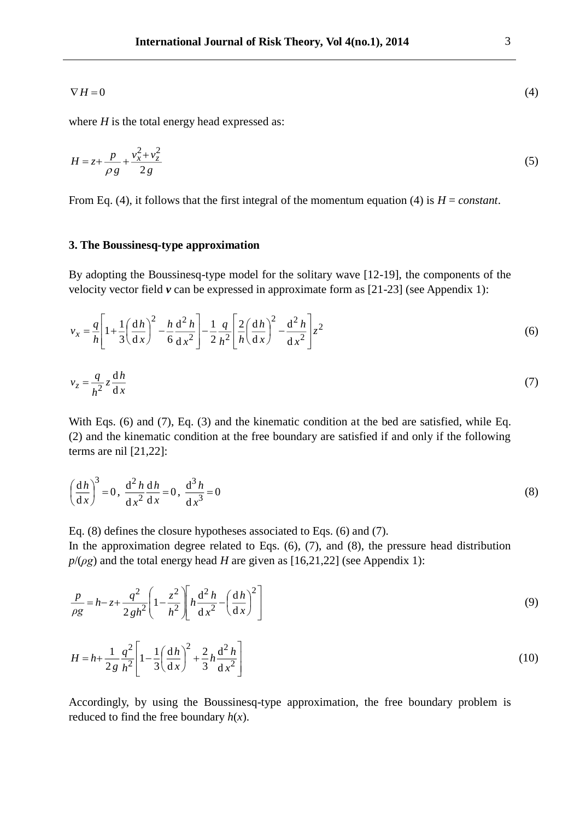$$
\nabla H = 0 \tag{4}
$$

where  $H$  is the total energy head expressed as:

$$
H = z + \frac{p}{\rho g} + \frac{v_x^2 + v_z^2}{2g} \tag{5}
$$

From Eq. (4), it follows that the first integral of the momentum equation (4) is *H* = *constant*.

## **3. The Boussinesq-type approximation**

By adopting the Boussinesq-type model for the solitary wave [12-19], the components of the velocity vector field *v* can be expressed in approximate form as [21-23] (see Appendix 1):

$$
v_x = \frac{q}{h} \left[ 1 + \frac{1}{3} \left( \frac{dh}{dx} \right)^2 - \frac{h}{6} \frac{d^2 h}{dx^2} \right] - \frac{1}{2} \frac{q}{h^2} \left[ \frac{2}{h} \left( \frac{dh}{dx} \right)^2 - \frac{d^2 h}{dx^2} \right] z^2
$$
(6)

$$
v_z = \frac{q}{h^2} z \frac{dh}{dx}
$$
 (7)

With Eqs. (6) and (7), Eq. (3) and the kinematic condition at the bed are satisfied, while Eq. (2) and the kinematic condition at the free boundary are satisfied if and only if the following terms are nil [21,22]:

$$
\left(\frac{dh}{dx}\right)^3 = 0, \frac{d^2 h}{dx^2} \frac{dh}{dx} = 0, \frac{d^3 h}{dx^3} = 0
$$
\n(8)

Eq. (8) defines the closure hypotheses associated to Eqs. (6) and (7).

In the approximation degree related to Eqs.  $(6)$ ,  $(7)$ , and  $(8)$ , the pressure head distribution  $p/(\rho g)$  and the total energy head *H* are given as [16,21,22] (see Appendix 1):

$$
\frac{p}{\rho g} = h - z + \frac{q^2}{2gh^2} \left( 1 - \frac{z^2}{h^2} \right) \left[ h \frac{d^2 h}{dx^2} - \left( \frac{dh}{dx} \right)^2 \right]
$$
(9)

$$
H = h + \frac{1}{2g} \frac{q^2}{h^2} \left[ 1 - \frac{1}{3} \left( \frac{dh}{dx} \right)^2 + \frac{2}{3} h \frac{d^2 h}{dx^2} \right]
$$
(10)

Accordingly, by using the Boussinesq-type approximation, the free boundary problem is reduced to find the free boundary  $h(x)$ .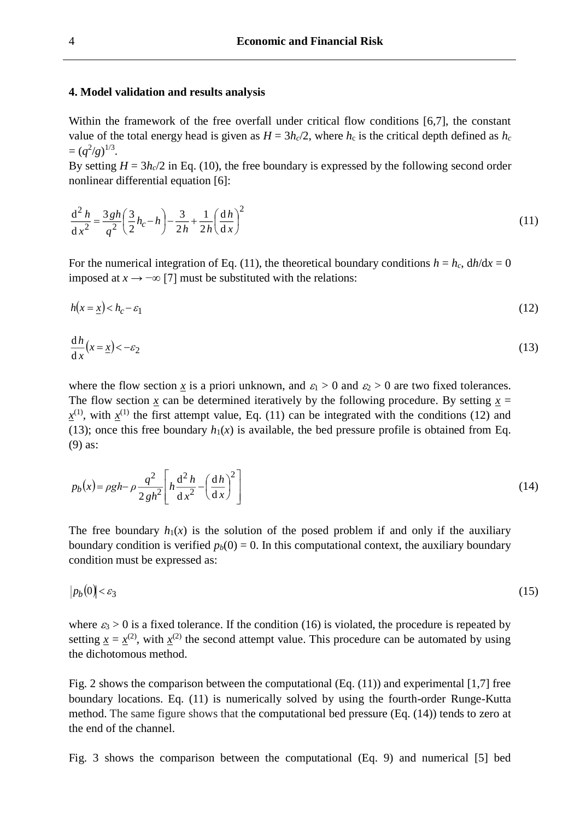### **4. Model validation and results analysis**

Within the framework of the free overfall under critical flow conditions [6,7], the constant value of the total energy head is given as  $H = 3h_c/2$ , where  $h_c$  is the critical depth defined as  $h_c$  $=(q^2/g)^{1/3}.$ 

By setting  $H = 3h_c/2$  in Eq. (10), the free boundary is expressed by the following second order nonlinear differential equation [6]:

$$
\frac{d^2 h}{dx^2} = \frac{3gh}{q^2} \left(\frac{3}{2}h_c - h\right) - \frac{3}{2h} + \frac{1}{2h} \left(\frac{dh}{dx}\right)^2
$$
\n(11)

For the numerical integration of Eq. (11), the theoretical boundary conditions  $h = h_c$ ,  $dh/dx = 0$ imposed at  $x \rightarrow -\infty$  [7] must be substituted with the relations:

$$
h(x = \underline{x}) < h_c - \varepsilon_1 \tag{12}
$$

$$
\frac{\mathrm{d}h}{\mathrm{d}x}(x=\underline{x}) < -\varepsilon_2 \tag{13}
$$

where the flow section x is a priori unknown, and  $\varepsilon_1 > 0$  and  $\varepsilon_2 > 0$  are two fixed tolerances. The flow section *x* can be determined iteratively by the following procedure. By setting  $x =$  $x^{(1)}$ , with  $x^{(1)}$  the first attempt value, Eq. (11) can be integrated with the conditions (12) and (13); once this free boundary  $h_1(x)$  is available, the bed pressure profile is obtained from Eq. (9) as:

$$
p_b(x) = \rho g h - \rho \frac{q^2}{2gh^2} \left[ h \frac{d^2 h}{dx^2} - \left(\frac{dh}{dx}\right)^2 \right]
$$
 (14)

The free boundary  $h_1(x)$  is the solution of the posed problem if and only if the auxiliary boundary condition is verified  $p_b(0) = 0$ . In this computational context, the auxiliary boundary condition must be expressed as:

$$
|p_b(0)| < \varepsilon_3 \tag{15}
$$

where  $\varepsilon_3 > 0$  is a fixed tolerance. If the condition (16) is violated, the procedure is repeated by setting  $x = x^{(2)}$ , with  $x^{(2)}$  the second attempt value. This procedure can be automated by using the dichotomous method.

Fig. 2 shows the comparison between the computational (Eq. (11)) and experimental [1,7] free boundary locations. Eq. (11) is numerically solved by using the fourth-order Runge-Kutta method. The same figure shows that the computational bed pressure (Eq. (14)) tends to zero at the end of the channel.

Fig. 3 shows the comparison between the computational (Eq. 9) and numerical [5] bed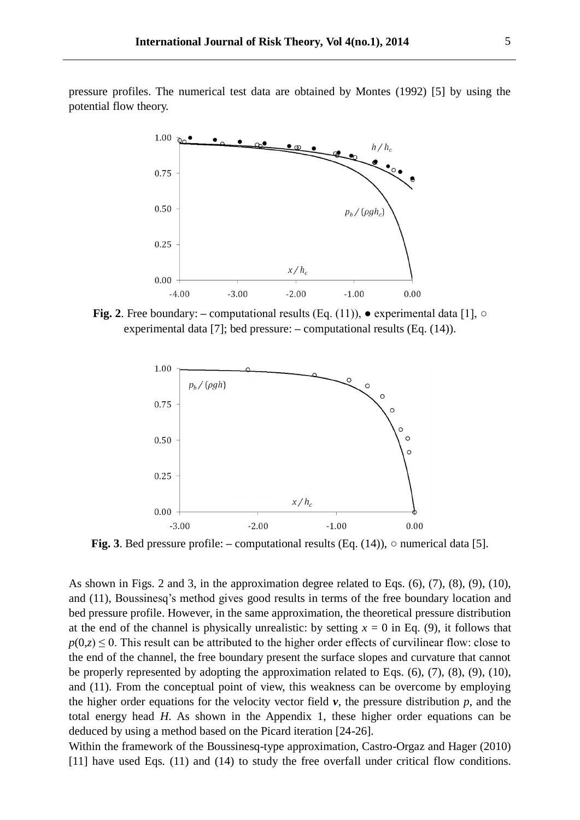pressure profiles. The numerical test data are obtained by Montes (1992) [5] by using the potential flow theory.



**Fig. 2**. Free boundary:  $-$  computational results (Eq. (11)),  $\bullet$  experimental data [1],  $\circ$ experimental data [7]; bed pressure:  $-$  computational results (Eq. (14)).



**Fig. 3**. Bed pressure profile:  $-$  computational results (Eq. (14)),  $\circ$  numerical data [5].

As shown in Figs. 2 and 3, in the approximation degree related to Eqs. (6), (7), (8), (9), (10), and (11), Boussinesq's method gives good results in terms of the free boundary location and bed pressure profile. However, in the same approximation, the theoretical pressure distribution at the end of the channel is physically unrealistic: by setting  $x = 0$  in Eq. (9), it follows that  $p(0, z) \le 0$ . This result can be attributed to the higher order effects of curvilinear flow: close to the end of the channel, the free boundary present the surface slopes and curvature that cannot be properly represented by adopting the approximation related to Eqs.  $(6)$ ,  $(7)$ ,  $(8)$ ,  $(9)$ ,  $(10)$ , and (11). From the conceptual point of view, this weakness can be overcome by employing the higher order equations for the velocity vector field  $\nu$ , the pressure distribution  $p$ , and the total energy head *H*. As shown in the Appendix 1, these higher order equations can be deduced by using a method based on the Picard iteration [24-26].

Within the framework of the Boussinesq-type approximation, Castro-Orgaz and Hager (2010) [11] have used Eqs. (11) and (14) to study the free overfall under critical flow conditions.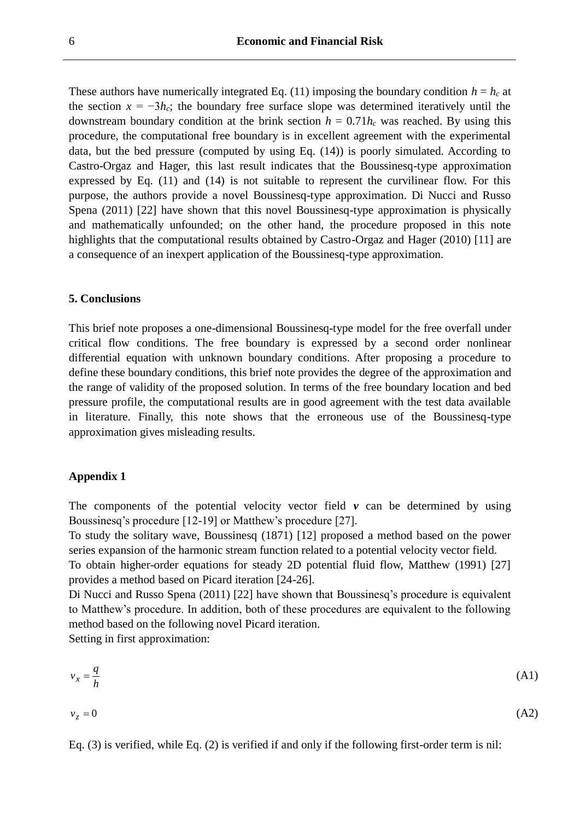These authors have numerically integrated Eq. (11) imposing the boundary condition  $h = h_c$  at the section  $x = -3h_c$ ; the boundary free surface slope was determined iteratively until the downstream boundary condition at the brink section  $h = 0.71 h_c$  was reached. By using this procedure, the computational free boundary is in excellent agreement with the experimental data, but the bed pressure (computed by using Eq. (14)) is poorly simulated. According to Castro-Orgaz and Hager, this last result indicates that the Boussinesq-type approximation expressed by Eq. (11) and (14) is not suitable to represent the curvilinear flow. For this purpose, the authors provide a novel Boussinesq-type approximation. Di Nucci and Russo Spena (2011) [22] have shown that this novel Boussinesq-type approximation is physically and mathematically unfounded; on the other hand, the procedure proposed in this note highlights that the computational results obtained by Castro-Orgaz and Hager (2010) [11] are a consequence of an inexpert application of the Boussinesq-type approximation.

### **5. Conclusions**

This brief note proposes a one-dimensional Boussinesq-type model for the free overfall under critical flow conditions. The free boundary is expressed by a second order nonlinear differential equation with unknown boundary conditions. After proposing a procedure to define these boundary conditions, this brief note provides the degree of the approximation and the range of validity of the proposed solution. In terms of the free boundary location and bed pressure profile, the computational results are in good agreement with the test data available in literature. Finally, this note shows that the erroneous use of the Boussinesq-type approximation gives misleading results.

### **Appendix 1**

The components of the potential velocity vector field  $v$  can be determined by using Boussinesq's procedure [12-19] or Matthew's procedure [27].

To study the solitary wave, Boussinesq (1871) [12] proposed a method based on the power series expansion of the harmonic stream function related to a potential velocity vector field. To obtain higher-order equations for steady 2D potential fluid flow, Matthew (1991) [27] provides a method based on Picard iteration [24-26].

Di Nucci and Russo Spena (2011) [22] have shown that Boussinesq's procedure is equivalent to Matthew's procedure. In addition, both of these procedures are equivalent to the following method based on the following novel Picard iteration.

Setting in first approximation:

$$
v_x = \frac{q}{h} \tag{A1}
$$

$$
v_z = 0 \tag{A2}
$$

Eq. (3) is verified, while Eq. (2) is verified if and only if the following first-order term is nil: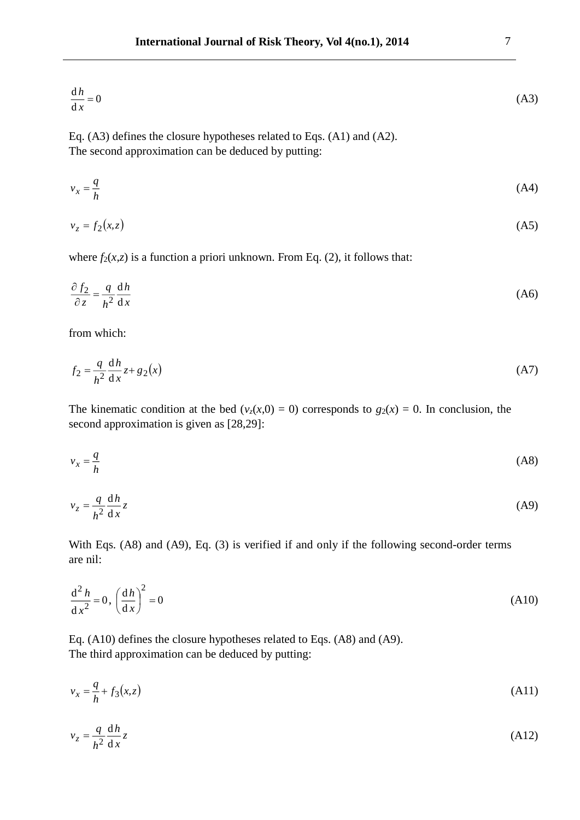$$
\frac{\mathrm{d}h}{\mathrm{d}x} = 0\tag{A3}
$$

Eq. (A3) defines the closure hypotheses related to Eqs. (A1) and (A2). The second approximation can be deduced by putting:

$$
v_x = \frac{q}{h} \tag{A4}
$$

$$
v_z = f_2(x, z) \tag{A5}
$$

where  $f_2(x,z)$  is a function a priori unknown. From Eq. (2), it follows that:

$$
\frac{\partial f_2}{\partial z} = \frac{q}{h^2} \frac{\mathrm{d}h}{\mathrm{d}x} \tag{A6}
$$

from which:

$$
f_2 = \frac{q}{h^2} \frac{\mathrm{d}h}{\mathrm{d}x} z + g_2(x) \tag{A7}
$$

The kinematic condition at the bed ( $v_z(x,0) = 0$ ) corresponds to  $g_2(x) = 0$ . In conclusion, the second approximation is given as [28,29]:

$$
v_x = \frac{q}{h} \tag{A8}
$$

$$
v_z = \frac{q}{h^2} \frac{dh}{dx} z \tag{A9}
$$

With Eqs. (A8) and (A9), Eq. (3) is verified if and only if the following second-order terms are nil:

$$
\frac{\mathrm{d}^2 h}{\mathrm{d} x^2} = 0, \left(\frac{\mathrm{d} h}{\mathrm{d} x}\right)^2 = 0\tag{A10}
$$

Eq. (A10) defines the closure hypotheses related to Eqs. (A8) and (A9). The third approximation can be deduced by putting:

$$
v_x = \frac{q}{h} + f_3(x, z) \tag{A11}
$$

$$
v_z = \frac{q}{h^2} \frac{dh}{dx} z \tag{A12}
$$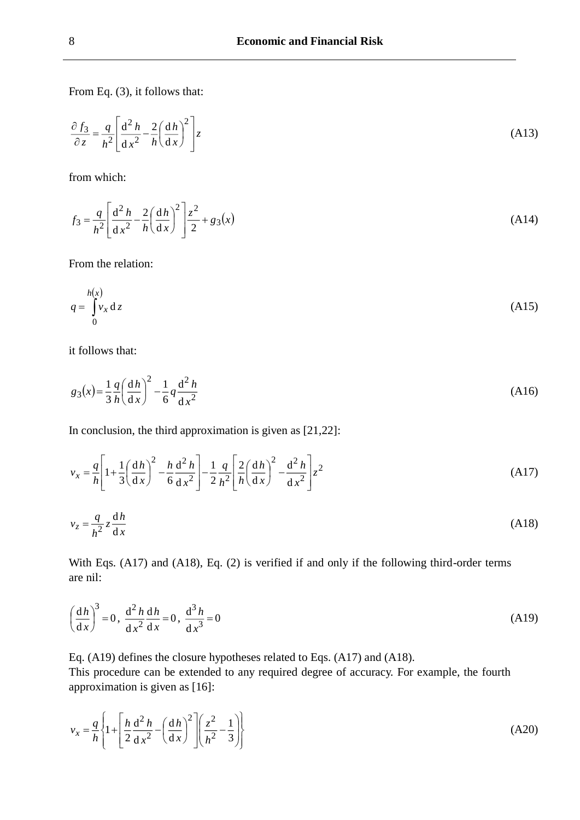From Eq. (3), it follows that:

$$
\frac{\partial f_3}{\partial z} = \frac{q}{h^2} \left[ \frac{\mathrm{d}^2 h}{\mathrm{d} x^2} - \frac{2}{h} \left( \frac{\mathrm{d} h}{\mathrm{d} x} \right)^2 \right] z \tag{A13}
$$

from which:

$$
f_3 = \frac{q}{h^2} \left[ \frac{d^2 h}{dx^2} - \frac{2}{h} \left( \frac{dh}{dx} \right)^2 \right] \frac{z^2}{2} + g_3(x)
$$
 (A14)

From the relation:

$$
q = \int_{0}^{h(x)} v_x \, \mathrm{d}z \tag{A15}
$$

it follows that:

$$
g_3(x) = \frac{1}{3} \frac{q}{h} \left(\frac{dh}{dx}\right)^2 - \frac{1}{6} q \frac{d^2 h}{dx^2}
$$
 (A16)

In conclusion, the third approximation is given as  $[21,22]$ :

$$
v_x = \frac{q}{h} \left[ 1 + \frac{1}{3} \left( \frac{dh}{dx} \right)^2 - \frac{h}{6} \frac{d^2 h}{dx^2} \right] - \frac{1}{2} \frac{q}{h^2} \left[ \frac{2}{h} \left( \frac{dh}{dx} \right)^2 - \frac{d^2 h}{dx^2} \right] z^2
$$
 (A17)

$$
v_z = \frac{q}{h^2} z \frac{dh}{dx}
$$
 (A18)

With Eqs. (A17) and (A18), Eq. (2) is verified if and only if the following third-order terms are nil:

$$
\left(\frac{dh}{dx}\right)^3 = 0, \frac{d^2 h}{dx^2} \frac{dh}{dx} = 0, \frac{d^3 h}{dx^3} = 0
$$
\n(A19)

Eq. (A19) defines the closure hypotheses related to Eqs. (A17) and (A18).

This procedure can be extended to any required degree of accuracy. For example, the fourth approximation is given as [16]:

$$
v_x = \frac{q}{h} \left\{ 1 + \left[ \frac{h}{2} \frac{d^2 h}{dx^2} - \left( \frac{dh}{dx} \right)^2 \right] \left( \frac{z^2}{h^2} - \frac{1}{3} \right) \right\}
$$
(A20)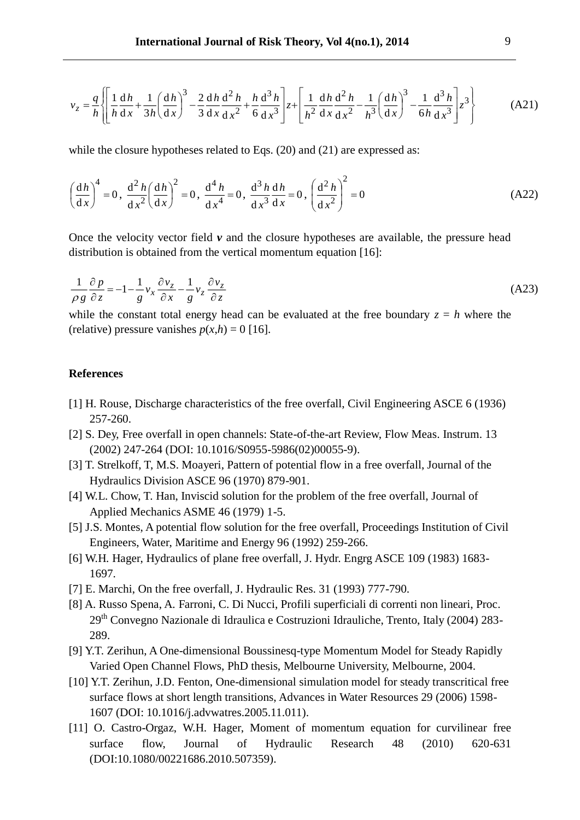$$
v_z = \frac{q}{h} \left\{ \left[ \frac{1}{h} \frac{dh}{dx} + \frac{1}{3h} \left( \frac{dh}{dx} \right)^3 - \frac{2}{3} \frac{dh}{dx} \frac{d^2 h}{dx^2} + \frac{h}{6} \frac{d^3 h}{dx^3} \right] z + \left[ \frac{1}{h^2} \frac{dh}{dx} \frac{d^2 h}{dx^2} - \frac{1}{h^3} \left( \frac{dh}{dx} \right)^3 - \frac{1}{6h} \frac{d^3 h}{dx^3} \right] z^3 \right\}
$$
(A21)

while the closure hypotheses related to Eqs. (20) and (21) are expressed as:

$$
\left(\frac{dh}{dx}\right)^4 = 0, \frac{d^2 h}{dx^2} \left(\frac{dh}{dx}\right)^2 = 0, \frac{d^4 h}{dx^4} = 0, \frac{d^3 h}{dx^3} \frac{dh}{dx} = 0, \left(\frac{d^2 h}{dx^2}\right)^2 = 0
$$
\n(A22)

Once the velocity vector field  $\nu$  and the closure hypotheses are available, the pressure head distribution is obtained from the vertical momentum equation [16]:

$$
\frac{1}{\rho g} \frac{\partial p}{\partial z} = -1 - \frac{1}{g} v_x \frac{\partial v_z}{\partial x} - \frac{1}{g} v_z \frac{\partial v_z}{\partial z}
$$
(A23)

while the constant total energy head can be evaluated at the free boundary  $z = h$  where the (relative) pressure vanishes  $p(x,h) = 0$  [16].

### **References**

- [1] H. Rouse, Discharge characteristics of the free overfall, Civil Engineering ASCE 6 (1936) 257-260.
- [2] S. Dey, Free overfall in open channels: State-of-the-art Review, Flow Meas. Instrum. 13 (2002) 247-264 (DOI: 10.1016/S0955-5986(02)00055-9).
- [3] T. Strelkoff, T, M.S. Moayeri, Pattern of potential flow in a free overfall, Journal of the Hydraulics Division ASCE 96 (1970) 879-901.
- [4] W.L. Chow, T. Han, Inviscid solution for the problem of the free overfall, Journal of Applied Mechanics ASME 46 (1979) 1-5.
- [5] J.S. Montes, A potential flow solution for the free overfall, Proceedings Institution of Civil Engineers, Water, Maritime and Energy 96 (1992) 259-266.
- [6] W.H. Hager, Hydraulics of plane free overfall, J. Hydr. Engrg ASCE 109 (1983) 1683- 1697.
- [7] E. Marchi, On the free overfall, J. Hydraulic Res. 31 (1993) 777-790.
- [8] A. Russo Spena, A. Farroni, C. Di Nucci, Profili superficiali di correnti non lineari, Proc. 29th Convegno Nazionale di Idraulica e Costruzioni Idrauliche, Trento, Italy (2004) 283- 289.
- [9] Y.T. Zerihun, A One-dimensional Boussinesq-type Momentum Model for Steady Rapidly Varied Open Channel Flows, PhD thesis, Melbourne University, Melbourne, 2004.
- [10] Y.T. Zerihun, J.D. Fenton, One-dimensional simulation model for steady transcritical free surface flows at short length transitions, Advances in Water Resources 29 (2006) 1598- 1607 (DOI: 10.1016/j.advwatres.2005.11.011).
- [11] O. Castro-Orgaz, W.H. Hager, Moment of momentum equation for curvilinear free surface flow, Journal of Hydraulic Research 48 (2010) 620-631 (DOI:10.1080/00221686.2010.507359).